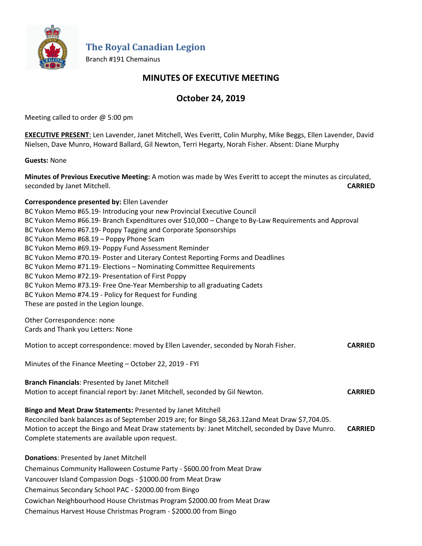

**The Royal Canadian Legion**

Branch #191 Chemainus

## **MINUTES OF EXECUTIVE MEETING**

# **October 24, 2019**

Meeting called to order @ 5:00 pm

**EXECUTIVE PRESENT**: Len Lavender, Janet Mitchell, Wes Everitt, Colin Murphy, Mike Beggs, Ellen Lavender, David Nielsen, Dave Munro, Howard Ballard, Gil Newton, Terri Hegarty, Norah Fisher. Absent: Diane Murphy

**Guests:** None

**Minutes of Previous Executive Meeting:** A motion was made by Wes Everitt to accept the minutes as circulated, seconded by Janet Mitchell. **CARRIED**

**Correspondence presented by:** Ellen Lavender BC Yukon Memo #65.19- Introducing your new Provincial Executive Council BC Yukon Memo #66.19- Branch Expenditures over \$10,000 – Change to By-Law Requirements and Approval BC Yukon Memo #67.19- Poppy Tagging and Corporate Sponsorships BC Yukon Memo #68.19 – Poppy Phone Scam BC Yukon Memo #69.19- Poppy Fund Assessment Reminder BC Yukon Memo #70.19- Poster and Literary Contest Reporting Forms and Deadlines BC Yukon Memo #71.19- Elections – Nominating Committee Requirements BC Yukon Memo #72.19- Presentation of First Poppy BC Yukon Memo #73.19- Free One-Year Membership to all graduating Cadets BC Yukon Memo #74.19 - Policy for Request for Funding These are posted in the Legion lounge.

Other Correspondence: none Cards and Thank you Letters: None

Motion to accept correspondence: moved by Ellen Lavender, seconded by Norah Fisher. **CARRIED**

Minutes of the Finance Meeting – October 22, 2019 - FYI

**Branch Financials**: Presented by Janet Mitchell Motion to accept financial report by: Janet Mitchell, seconded by Gil Newton. **CARRIED**

**Bingo and Meat Draw Statements:** Presented by Janet Mitchell Reconciled bank balances as of September 2019 are; for Bingo \$8,263.12and Meat Draw \$7,704.05. Motion to accept the Bingo and Meat Draw statements by: Janet Mitchell, seconded by Dave Munro. **CARRIED** Complete statements are available upon request.

**Donations**: Presented by Janet Mitchell Chemainus Community Halloween Costume Party - \$600.00 from Meat Draw Vancouver Island Compassion Dogs - \$1000.00 from Meat Draw Chemainus Secondary School PAC - \$2000.00 from Bingo Cowichan Neighbourhood House Christmas Program \$2000.00 from Meat Draw Chemainus Harvest House Christmas Program - \$2000.00 from Bingo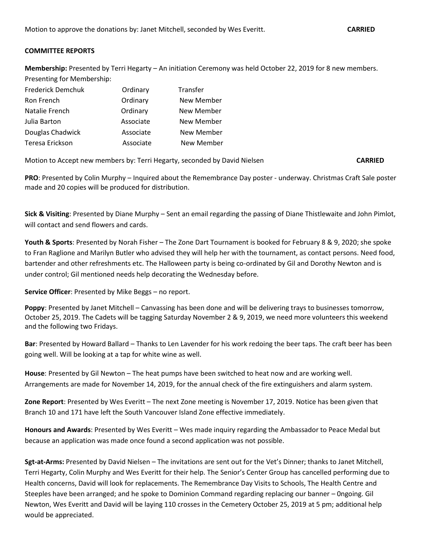## **COMMITTEE REPORTS**

**Membership:** Presented by Terri Hegarty – An initiation Ceremony was held October 22, 2019 for 8 new members. Presenting for Membership:

| Frederick Demchuk | Ordinary  | Transfer   |
|-------------------|-----------|------------|
| Ron French        | Ordinary  | New Member |
| Natalie French    | Ordinary  | New Member |
| Julia Barton      | Associate | New Member |
| Douglas Chadwick  | Associate | New Member |
| Teresa Erickson   | Associate | New Member |

Motion to Accept new members by: Terri Hegarty, seconded by David Nielsen **CARRIED**

**PRO**: Presented by Colin Murphy – Inquired about the Remembrance Day poster - underway. Christmas Craft Sale poster made and 20 copies will be produced for distribution.

**Sick & Visiting**: Presented by Diane Murphy – Sent an email regarding the passing of Diane Thistlewaite and John Pimlot, will contact and send flowers and cards.

**Youth & Sports**: Presented by Norah Fisher – The Zone Dart Tournament is booked for February 8 & 9, 2020; she spoke to Fran Raglione and Marilyn Butler who advised they will help her with the tournament, as contact persons. Need food, bartender and other refreshments etc. The Halloween party is being co-ordinated by Gil and Dorothy Newton and is under control; Gil mentioned needs help decorating the Wednesday before.

**Service Officer**: Presented by Mike Beggs – no report.

**Poppy**: Presented by Janet Mitchell – Canvassing has been done and will be delivering trays to businesses tomorrow, October 25, 2019. The Cadets will be tagging Saturday November 2 & 9, 2019, we need more volunteers this weekend and the following two Fridays.

**Bar**: Presented by Howard Ballard – Thanks to Len Lavender for his work redoing the beer taps. The craft beer has been going well. Will be looking at a tap for white wine as well.

**House**: Presented by Gil Newton – The heat pumps have been switched to heat now and are working well. Arrangements are made for November 14, 2019, for the annual check of the fire extinguishers and alarm system.

**Zone Report**: Presented by Wes Everitt – The next Zone meeting is November 17, 2019. Notice has been given that Branch 10 and 171 have left the South Vancouver Island Zone effective immediately.

**Honours and Awards**: Presented by Wes Everitt – Wes made inquiry regarding the Ambassador to Peace Medal but because an application was made once found a second application was not possible.

**Sgt-at-Arms:** Presented by David Nielsen – The invitations are sent out for the Vet's Dinner; thanks to Janet Mitchell, Terri Hegarty, Colin Murphy and Wes Everitt for their help. The Senior's Center Group has cancelled performing due to Health concerns, David will look for replacements. The Remembrance Day Visits to Schools, The Health Centre and Steeples have been arranged; and he spoke to Dominion Command regarding replacing our banner – 0ngoing. Gil Newton, Wes Everitt and David will be laying 110 crosses in the Cemetery October 25, 2019 at 5 pm; additional help would be appreciated.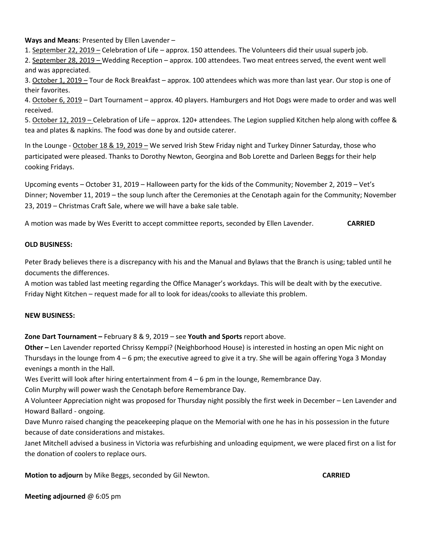**Ways and Means**: Presented by Ellen Lavender –

1. September 22, 2019 – Celebration of Life – approx. 150 attendees. The Volunteers did their usual superb job.

2. September 28, 2019 – Wedding Reception – approx. 100 attendees. Two meat entrees served, the event went well and was appreciated.

3. October 1, 2019 – Tour de Rock Breakfast – approx. 100 attendees which was more than last year. Our stop is one of their favorites.

4. October 6, 2019 – Dart Tournament – approx. 40 players. Hamburgers and Hot Dogs were made to order and was well received.

5. October 12, 2019 – Celebration of Life – approx. 120+ attendees. The Legion supplied Kitchen help along with coffee & tea and plates & napkins. The food was done by and outside caterer.

In the Lounge - October 18 & 19, 2019 – We served Irish Stew Friday night and Turkey Dinner Saturday, those who participated were pleased. Thanks to Dorothy Newton, Georgina and Bob Lorette and Darleen Beggs for their help cooking Fridays.

Upcoming events – October 31, 2019 – Halloween party for the kids of the Community; November 2, 2019 – Vet's Dinner; November 11, 2019 – the soup lunch after the Ceremonies at the Cenotaph again for the Community; November 23, 2019 – Christmas Craft Sale, where we will have a bake sale table.

A motion was made by Wes Everitt to accept committee reports, seconded by Ellen Lavender. **CARRIED**

### **OLD BUSINESS:**

Peter Brady believes there is a discrepancy with his and the Manual and Bylaws that the Branch is using; tabled until he documents the differences.

A motion was tabled last meeting regarding the Office Manager's workdays. This will be dealt with by the executive. Friday Night Kitchen – request made for all to look for ideas/cooks to alleviate this problem.

### **NEW BUSINESS:**

**Zone Dart Tournament –** February 8 & 9, 2019 – see **Youth and Sports** report above.

**Other –** Len Lavender reported Chrissy Kemppi? (Neighborhood House) is interested in hosting an open Mic night on Thursdays in the lounge from 4 – 6 pm; the executive agreed to give it a try. She will be again offering Yoga 3 Monday evenings a month in the Hall.

Wes Everitt will look after hiring entertainment from  $4 - 6$  pm in the lounge, Remembrance Day.

Colin Murphy will power wash the Cenotaph before Remembrance Day.

A Volunteer Appreciation night was proposed for Thursday night possibly the first week in December – Len Lavender and Howard Ballard - ongoing.

Dave Munro raised changing the peacekeeping plaque on the Memorial with one he has in his possession in the future because of date considerations and mistakes.

Janet Mitchell advised a business in Victoria was refurbishing and unloading equipment, we were placed first on a list for the donation of coolers to replace ours.

**Motion to adjourn** by Mike Beggs, seconded by Gil Newton. **CARRIED** 

**Meeting adjourned** @ 6:05 pm